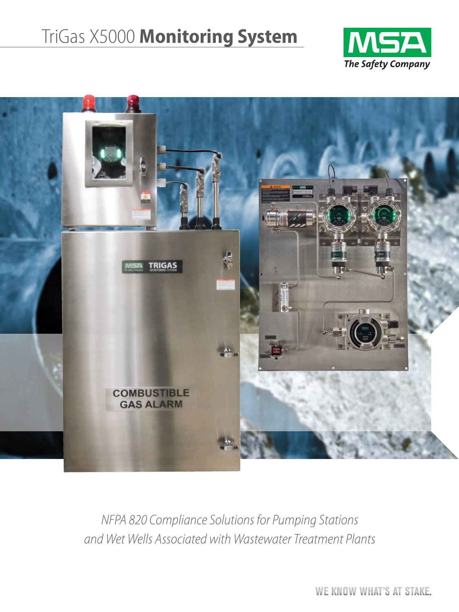# TriGas X5000 **Monitoring System**





*NFPA 820 Compliance Solutions for Pumping Stations and Wet Wells Associated with Wastewater Treatment Plants*

WE KNOW WHAT'S AT STAKE.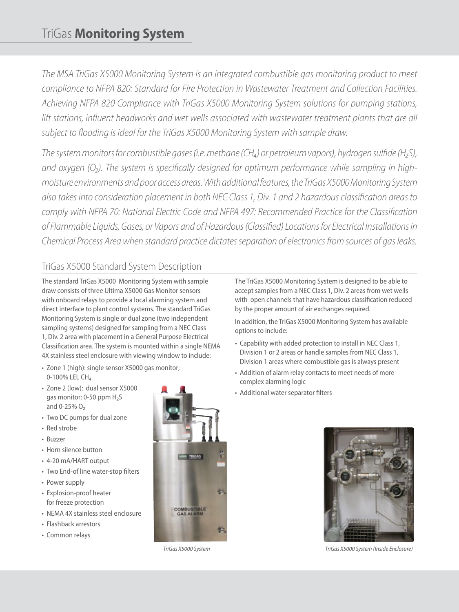*The MSA TriGas X5000 Monitoring System is an integrated combustible gas monitoring product to meet compliance to NFPA 820: Standard for Fire Protection in Wastewater Treatment and Collection Facilities. Achieving NFPA 820 Compliance with TriGas X5000 Monitoring System solutions for pumping stations, lift stations, influent headworks and wet wells associated with wastewater treatment plants that are all subject to flooding is ideal for the TriGas X5000 Monitoring System with sample draw.* 

*The system monitors for combustible gases (i.e. methane (CH₄) or petroleum vapors), hydrogen sulfide (H₂S), and oxygen (O₂). The system is specifically designed for optimum performance while sampling in highmoisture environments and poor access areas. With additional features, the TriGas X5000 Monitoring System also takes into consideration placement in both NEC Class 1, Div. 1 and 2 hazardous classification areas to comply with NFPA 70: National Electric Code and NFPA 497: Recommended Practice for the Classification of Flammable Liquids, Gases, or Vapors and of Hazardous (Classified) Locations for Electrical Installations in Chemical Process Area when standard practice dictates separation of electronics from sources of gas leaks.*

# TriGas X5000 Standard System Description

The standard TriGas X5000 Monitoring System with sample draw consists of three Ultima X5000 Gas Monitor sensors with onboard relays to provide a local alarming system and direct interface to plant control systems. The standard TriGas Monitoring System is single or dual zone (two independent sampling systems) designed for sampling from a NEC Class 1, Div. 2 area with placement in a General Purpose Electrical Classification area. The system is mounted within a single NEMA 4X stainless steel enclosure with viewing window to include:

- Zone 1 (high): single sensor X5000 gas monitor; 0-100% LEL CH<sub>4</sub>
- Zone 2 (low): dual sensor X5000 gas monitor; 0-50 ppm H<sub>2</sub>S and 0-25% O₂
- Two DC pumps for dual zone
- Red strobe
- Buzzer
- Horn silence button
- 4-20 mA/HART output
- Two End-of line water-stop filters
- Power supply
- Explosion-proof heater for freeze protection
- NEMA 4X stainless steel enclosure
- Flashback arrestors
- Common relays



The TriGas X5000 Monitoring System is designed to be able to accept samples from a NEC Class 1, Div. 2 areas from wet wells with open channels that have hazardous classification reduced by the proper amount of air exchanges required.

In addition, the TriGas X5000 Monitoring System has available options to include:

- Capability with added protection to install in NEC Class 1, Division 1 or 2 areas or handle samples from NEC Class 1, Division 1 areas where combustible gas is always present
- Addition of alarm relay contacts to meet needs of more complex alarming logic
- Additional water separator filters



*TriGas X5000 System TriGas X5000 System (Inside Enclosure)*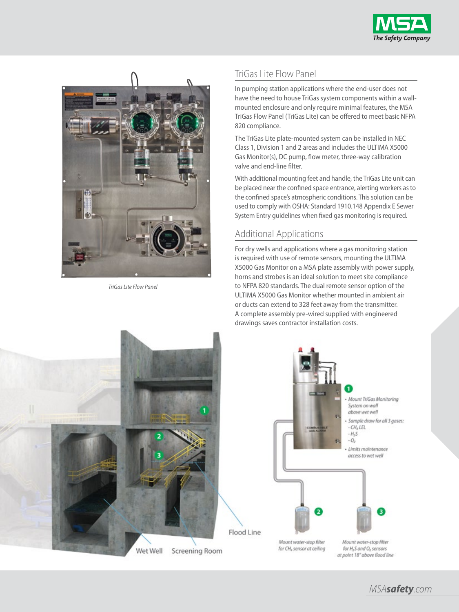



*TriGas Lite Flow Panel*

# TriGas Lite Flow Panel

In pumping station applications where the end-user does not have the need to house TriGas system components within a wallmounted enclosure and only require minimal features, the MSA TriGas Flow Panel (TriGas Lite) can be offered to meet basic NFPA 820 compliance.

The TriGas Lite plate-mounted system can be installed in NEC Class 1, Division 1 and 2 areas and includes the ULTIMA X5000 Gas Monitor(s), DC pump, flow meter, three-way calibration valve and end-line filter.

With additional mounting feet and handle, the TriGas Lite unit can be placed near the confined space entrance, alerting workers as to the confined space's atmospheric conditions. This solution can be used to comply with OSHA: Standard 1910.148 Appendix E Sewer System Entry guidelines when fixed gas monitoring is required.

# Additional Applications

For dry wells and applications where a gas monitoring station is required with use of remote sensors, mounting the ULTIMA X5000 Gas Monitor on a MSA plate assembly with power supply, horns and strobes is an ideal solution to meet site compliance to NFPA 820 standards. The dual remote sensor option of the ULTIMA X5000 Gas Monitor whether mounted in ambient air or ducts can extend to 328 feet away from the transmitter. A complete assembly pre-wired supplied with engineered drawings saves contractor installation costs.



*MSAsafety.com*